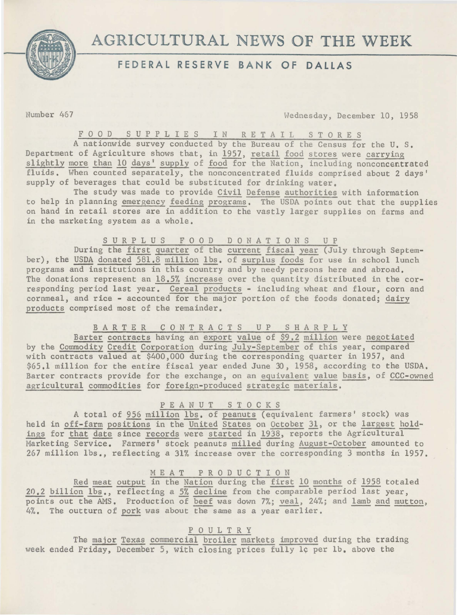

# AGRICULTURAL NEWS OF THE WEEK

# **FEDERAL RESERVE BANK OF DALLAS**

Number 467 Wednesday, December 10, 1958

FOOD SUPPLIES IN RETAIL STORES

A nationwide survey conducted by the Bureau of the Census for the U.S. Department of Agriculture shows that, in 1957, retail food stores were carrying slightly more than 10 days' supply of food for the Nation, including nonconcentrated fluids. When counted separately, the nonconcentrated fluids comprised about 2 days' supply of beverages that could be substituted for drinking water.

The study was made to provide Civil Defense authorities with information to help in planning emergency feeding programs. The USDA points out that the supplies on hand in retail stores are in addition to the vastly larger supplies on farms and in the marketing system as a whole.

S U R P L U S F O O D D O N A T I O N S U P

During the first quarter of the current fiscal year (July through September), the USDA donated 581.8 million lbs. of surplus foods for use in school lunch programs and institutions in this country and by needy persons here and abroad, The donations represent an 18.5% increase over the quantity distributed in the corresponding period last year. Cereal products - including wheat and flour, corn and cornmeal, and rice - accounted for the major portion of the foods donated; dairy products comprised most of the remainder.

# B A R T E R C O N T R A C T S U P S H A R P L Y

Barter contracts having an export value of \$9.2 million were negotiated by the Commodity Credit Corporation during July-September of this year, compared with contracts valued at \$400,000 during the corresponding quarter in 1957, and \$65.1 million for the entire fiscal year ended June 30, 1958, according to the USDA. Barter contracts provide for the exchange, on an equivalent value basis, of CCC-owned agricultural commodities for foreign-produced strategic materials.

## P E A N U T STOCKS

A total of 956 million lbs. of peanuts (equivalent farmers' stock) was held in off-farm positions in the United States on October 31, or the largest holdings for that date since records were started in 1938, reports the Agricultural Marketing Service. Farmers' stock peanuts milled during August-October amounted to 267 million lbs., reflecting a 31% increase over the corresponding 3 months in 1957.

### M E A T P R 0 D U C T I 0 N

Red meat output in the Nation during the first 10 months of 1958 totaled 20.2 billion lbs., reflecting a 5% decline from the comparable period last year, points out the AMS. Production of beef was down 7%; veal, 24%; and lamb and mutton,  $4\%$ . The outturn of pork was about the same as a year earlier.

### P 0 U L T R Y

The major Texas commercial broiler markets improved during the trading week ended Friday, December 5, with closing prices fully 1c per 1b. above the